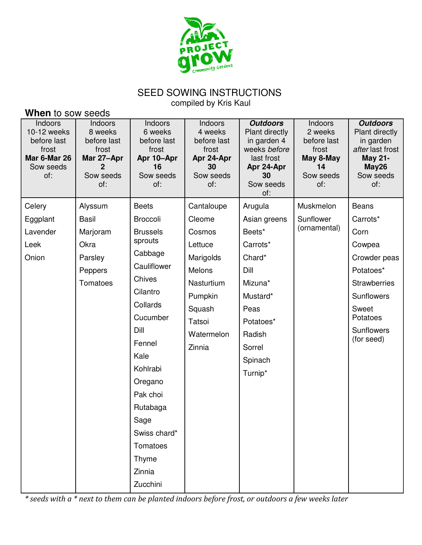

## SEED SOWING INSTRUCTIONS

compiled by Kris Kaul

| When to sow seeds                                                                         |                                                                                   |                                                                                    |                                                                                    |                                                                                                                        |                                                                                   |                                                                                                                   |  |
|-------------------------------------------------------------------------------------------|-----------------------------------------------------------------------------------|------------------------------------------------------------------------------------|------------------------------------------------------------------------------------|------------------------------------------------------------------------------------------------------------------------|-----------------------------------------------------------------------------------|-------------------------------------------------------------------------------------------------------------------|--|
| Indoors<br>10-12 weeks<br>before last<br>frost<br><b>Mar 6-Mar 26</b><br>Sow seeds<br>of: | Indoors<br>8 weeks<br>before last<br>frost<br>Mar 27-Apr<br>2<br>Sow seeds<br>of: | Indoors<br>6 weeks<br>before last<br>frost<br>Apr 10-Apr<br>16<br>Sow seeds<br>of: | Indoors<br>4 weeks<br>before last<br>frost<br>Apr 24-Apr<br>30<br>Sow seeds<br>of: | <b>Outdoors</b><br>Plant directly<br>in garden 4<br>weeks before<br>last frost<br>Apr 24-Apr<br>30<br>Sow seeds<br>of: | Indoors<br>2 weeks<br>before last<br>frost<br>May 8-May<br>14<br>Sow seeds<br>of: | <b>Outdoors</b><br>Plant directly<br>in garden<br>after last frost<br><b>May 21-</b><br>May26<br>Sow seeds<br>of: |  |
| Celery                                                                                    | Alyssum                                                                           | <b>Beets</b>                                                                       | Cantaloupe                                                                         | Arugula                                                                                                                | Muskmelon                                                                         | <b>Beans</b>                                                                                                      |  |
| Eggplant                                                                                  | Basil                                                                             | <b>Broccoli</b>                                                                    | Cleome                                                                             | Asian greens                                                                                                           | Sunflower                                                                         | Carrots*                                                                                                          |  |
| Lavender                                                                                  | Marjoram                                                                          | <b>Brussels</b>                                                                    | Cosmos                                                                             | Beets*                                                                                                                 | (ornamental)                                                                      | Corn                                                                                                              |  |
| Leek                                                                                      | Okra                                                                              | sprouts                                                                            | Lettuce                                                                            | Carrots*                                                                                                               |                                                                                   | Cowpea                                                                                                            |  |
| Onion                                                                                     | Parsley                                                                           | Cabbage                                                                            | Marigolds                                                                          | Chard*                                                                                                                 |                                                                                   | Crowder peas                                                                                                      |  |
|                                                                                           | Peppers                                                                           | Cauliflower<br><b>Chives</b>                                                       | Melons                                                                             | Dill                                                                                                                   |                                                                                   | Potatoes*                                                                                                         |  |
|                                                                                           | Tomatoes                                                                          |                                                                                    | Nasturtium                                                                         | Mizuna*                                                                                                                |                                                                                   | <b>Strawberries</b>                                                                                               |  |
|                                                                                           |                                                                                   | Cilantro                                                                           | Pumpkin                                                                            | Mustard*                                                                                                               |                                                                                   | Sunflowers                                                                                                        |  |
|                                                                                           |                                                                                   | Collards                                                                           | Squash                                                                             | Peas                                                                                                                   |                                                                                   | Sweet                                                                                                             |  |
|                                                                                           |                                                                                   | Cucumber                                                                           | Tatsoi                                                                             | Potatoes*                                                                                                              |                                                                                   | Potatoes                                                                                                          |  |
|                                                                                           |                                                                                   | Dill                                                                               | Watermelon                                                                         | Radish                                                                                                                 |                                                                                   | Sunflowers<br>(for seed)                                                                                          |  |
|                                                                                           |                                                                                   | Fennel                                                                             | Zinnia                                                                             | Sorrel                                                                                                                 |                                                                                   |                                                                                                                   |  |
|                                                                                           |                                                                                   | Kale                                                                               |                                                                                    | Spinach                                                                                                                |                                                                                   |                                                                                                                   |  |
|                                                                                           |                                                                                   | Kohlrabi                                                                           |                                                                                    | Turnip*                                                                                                                |                                                                                   |                                                                                                                   |  |
|                                                                                           |                                                                                   | Oregano                                                                            |                                                                                    |                                                                                                                        |                                                                                   |                                                                                                                   |  |
|                                                                                           |                                                                                   | Pak choi                                                                           |                                                                                    |                                                                                                                        |                                                                                   |                                                                                                                   |  |
|                                                                                           |                                                                                   | Rutabaga                                                                           |                                                                                    |                                                                                                                        |                                                                                   |                                                                                                                   |  |
|                                                                                           |                                                                                   | Sage                                                                               |                                                                                    |                                                                                                                        |                                                                                   |                                                                                                                   |  |
|                                                                                           |                                                                                   | Swiss chard*                                                                       |                                                                                    |                                                                                                                        |                                                                                   |                                                                                                                   |  |
|                                                                                           |                                                                                   | Tomatoes                                                                           |                                                                                    |                                                                                                                        |                                                                                   |                                                                                                                   |  |
|                                                                                           |                                                                                   | Thyme                                                                              |                                                                                    |                                                                                                                        |                                                                                   |                                                                                                                   |  |
|                                                                                           |                                                                                   | Zinnia                                                                             |                                                                                    |                                                                                                                        |                                                                                   |                                                                                                                   |  |
|                                                                                           |                                                                                   | Zucchini                                                                           |                                                                                    |                                                                                                                        |                                                                                   |                                                                                                                   |  |

\* seeds with a \* next to them can be planted indoors before frost, or outdoors a few weeks later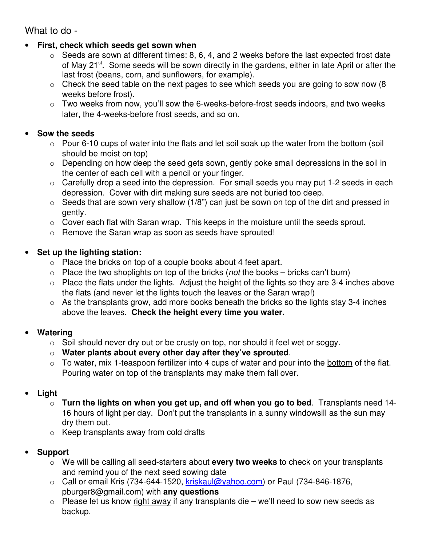What to do -

- **First, check which seeds get sown when**
	- $\circ$  Seeds are sown at different times: 8, 6, 4, and 2 weeks before the last expected frost date of May 21<sup>st</sup>. Some seeds will be sown directly in the gardens, either in late April or after the last frost (beans, corn, and sunflowers, for example).
	- $\circ$  Check the seed table on the next pages to see which seeds you are going to sow now (8) weeks before frost).
	- $\circ$  Two weeks from now, you'll sow the 6-weeks-before-frost seeds indoors, and two weeks later, the 4-weeks-before frost seeds, and so on.

#### • **Sow the seeds**

- $\circ$  Pour 6-10 cups of water into the flats and let soil soak up the water from the bottom (soil should be moist on top)
- o Depending on how deep the seed gets sown, gently poke small depressions in the soil in the center of each cell with a pencil or your finger.
- $\circ$  Carefully drop a seed into the depression. For small seeds you may put 1-2 seeds in each depression. Cover with dirt making sure seeds are not buried too deep.
- $\circ$  Seeds that are sown very shallow (1/8") can just be sown on top of the dirt and pressed in gently.
- o Cover each flat with Saran wrap. This keeps in the moisture until the seeds sprout.
- o Remove the Saran wrap as soon as seeds have sprouted!

### • **Set up the lighting station:**

- o Place the bricks on top of a couple books about 4 feet apart.
- $\circ$  Place the two shoplights on top of the bricks (*not* the books bricks can't burn)
- $\circ$  Place the flats under the lights. Adjust the height of the lights so they are 3-4 inches above the flats (and never let the lights touch the leaves or the Saran wrap!)
- $\circ$  As the transplants grow, add more books beneath the bricks so the lights stay 3-4 inches above the leaves. **Check the height every time you water.**

#### • **Watering**

- $\circ$  Soil should never dry out or be crusty on top, nor should it feel wet or soggy.
- o **Water plants about every other day after they've sprouted**.
- $\circ$  To water, mix 1-teaspoon fertilizer into 4 cups of water and pour into the bottom of the flat. Pouring water on top of the transplants may make them fall over.

#### • **Light**

- o **Turn the lights on when you get up, and off when you go to bed**. Transplants need 14- 16 hours of light per day. Don't put the transplants in a sunny windowsill as the sun may dry them out.
- $\circ$  Keep transplants away from cold drafts

## • **Support**

- o We will be calling all seed-starters about **every two weeks** to check on your transplants and remind you of the next seed sowing date
- $\circ$  Call or email Kris (734-644-1520, kriskaul@yahoo.com) or Paul (734-846-1876, pburger8@gmail.com) with **any questions**
- $\circ$  Please let us know right away if any transplants die we'll need to sow new seeds as backup.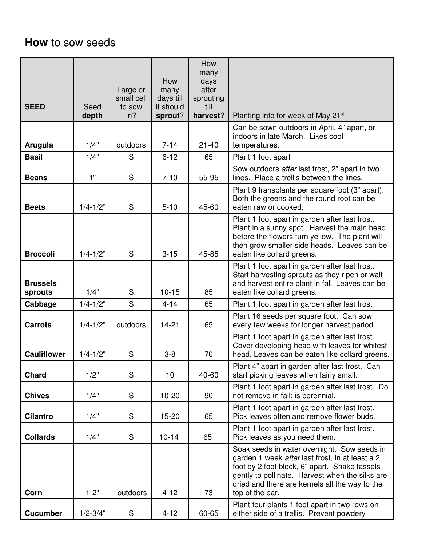# **How** to sow seeds

| <b>SEED</b>                | Seed<br>depth | Large or<br>small cell<br>to sow<br>in? | How<br>many<br>days till<br>it should<br>sprout? | How<br>many<br>days<br>after<br>sprouting<br>till<br>harvest? | Planting info for week of May 21 <sup>st</sup>                                                                                                                                                                                                                          |
|----------------------------|---------------|-----------------------------------------|--------------------------------------------------|---------------------------------------------------------------|-------------------------------------------------------------------------------------------------------------------------------------------------------------------------------------------------------------------------------------------------------------------------|
| Arugula                    | 1/4"          | outdoors                                | $7 - 14$                                         | $21 - 40$                                                     | Can be sown outdoors in April, 4" apart, or<br>indoors in late March. Likes cool<br>temperatures.                                                                                                                                                                       |
| <b>Basil</b>               | 1/4"          | S                                       | $6 - 12$                                         | 65                                                            | Plant 1 foot apart                                                                                                                                                                                                                                                      |
| <b>Beans</b>               | 1"            | S                                       | $7 - 10$                                         | 55-95                                                         | Sow outdoors after last frost, 2" apart in two<br>lines. Place a trellis between the lines.                                                                                                                                                                             |
| <b>Beets</b>               | $1/4 - 1/2"$  | S                                       | $5 - 10$                                         | 45-60                                                         | Plant 9 transplants per square foot (3" apart).<br>Both the greens and the round root can be<br>eaten raw or cooked.                                                                                                                                                    |
| <b>Broccoli</b>            | $1/4 - 1/2"$  | S                                       | $3 - 15$                                         | 45-85                                                         | Plant 1 foot apart in garden after last frost.<br>Plant in a sunny spot. Harvest the main head<br>before the flowers turn yellow. The plant will<br>then grow smaller side heads. Leaves can be<br>eaten like collard greens.                                           |
| <b>Brussels</b><br>sprouts | 1/4"          | S                                       | $10 - 15$                                        | 85                                                            | Plant 1 foot apart in garden after last frost.<br>Start harvesting sprouts as they ripen or wait<br>and harvest entire plant in fall. Leaves can be<br>eaten like collard greens.                                                                                       |
| Cabbage                    | $1/4 - 1/2"$  | S                                       | $4 - 14$                                         | 65                                                            | Plant 1 foot apart in garden after last frost                                                                                                                                                                                                                           |
| <b>Carrots</b>             | $1/4 - 1/2"$  | outdoors                                | $14 - 21$                                        | 65                                                            | Plant 16 seeds per square foot. Can sow<br>every few weeks for longer harvest period.                                                                                                                                                                                   |
| <b>Cauliflower</b>         | $1/4 - 1/2"$  | S                                       | $3 - 8$                                          | 70                                                            | Plant 1 foot apart in garden after last frost.<br>Cover developing head with leaves for whitest<br>head. Leaves can be eaten like collard greens.                                                                                                                       |
| <b>Chard</b>               | 1/2"          | S                                       | 10                                               | 40-60                                                         | Plant 4" apart in garden after last frost. Can<br>start picking leaves when fairly small.                                                                                                                                                                               |
| <b>Chives</b>              | 1/4"          | S                                       | $10-20$                                          | 90                                                            | Plant 1 foot apart in garden after last frost. Do<br>not remove in fall; is perennial.                                                                                                                                                                                  |
| <b>Cilantro</b>            | 1/4"          | S                                       | $15-20$                                          | 65                                                            | Plant 1 foot apart in garden after last frost.<br>Pick leaves often and remove flower buds.                                                                                                                                                                             |
| <b>Collards</b>            | 1/4"          | S                                       | $10 - 14$                                        | 65                                                            | Plant 1 foot apart in garden after last frost.<br>Pick leaves as you need them.                                                                                                                                                                                         |
| Corn                       | $1 - 2"$      | outdoors                                | $4 - 12$                                         | 73                                                            | Soak seeds in water overnight. Sow seeds in<br>garden 1 week after last frost, in at least a 2<br>foot by 2 foot block, 6" apart. Shake tassels<br>gently to pollinate. Harvest when the silks are<br>dried and there are kernels all the way to the<br>top of the ear. |
| <b>Cucumber</b>            | $1/2 - 3/4"$  | S                                       | $4 - 12$                                         | 60-65                                                         | Plant four plants 1 foot apart in two rows on<br>either side of a trellis. Prevent powdery                                                                                                                                                                              |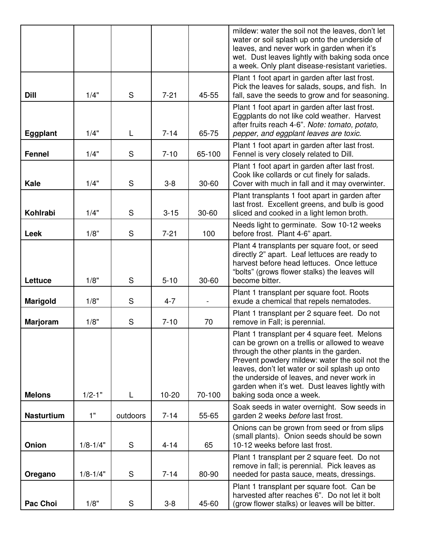|                   |              |          |           |           | mildew: water the soil not the leaves, don't let<br>water or soil splash up onto the underside of<br>leaves, and never work in garden when it's                                                                                                                                                                                                                          |
|-------------------|--------------|----------|-----------|-----------|--------------------------------------------------------------------------------------------------------------------------------------------------------------------------------------------------------------------------------------------------------------------------------------------------------------------------------------------------------------------------|
|                   |              |          |           |           | wet. Dust leaves lightly with baking soda once<br>a week. Only plant disease-resistant varieties.                                                                                                                                                                                                                                                                        |
| <b>Dill</b>       | 1/4"         | S        | $7 - 21$  | 45-55     | Plant 1 foot apart in garden after last frost.<br>Pick the leaves for salads, soups, and fish. In<br>fall, save the seeds to grow and for seasoning.                                                                                                                                                                                                                     |
| Eggplant          | 1/4"         | L        | $7 - 14$  | 65-75     | Plant 1 foot apart in garden after last frost.<br>Eggplants do not like cold weather. Harvest<br>after fruits reach 4-6". Note: tomato, potato,<br>pepper, and eggplant leaves are toxic.                                                                                                                                                                                |
| <b>Fennel</b>     | 1/4"         | S        | $7 - 10$  | 65-100    | Plant 1 foot apart in garden after last frost.<br>Fennel is very closely related to Dill.                                                                                                                                                                                                                                                                                |
| <b>Kale</b>       | 1/4"         | S        | $3 - 8$   | $30 - 60$ | Plant 1 foot apart in garden after last frost.<br>Cook like collards or cut finely for salads.<br>Cover with much in fall and it may overwinter.                                                                                                                                                                                                                         |
| <b>Kohlrabi</b>   | 1/4"         | S        | $3 - 15$  | 30-60     | Plant transplants 1 foot apart in garden after<br>last frost. Excellent greens, and bulb is good<br>sliced and cooked in a light lemon broth.                                                                                                                                                                                                                            |
| <b>Leek</b>       | 1/8"         | S        | $7 - 21$  | 100       | Needs light to germinate. Sow 10-12 weeks<br>before frost. Plant 4-6" apart.                                                                                                                                                                                                                                                                                             |
| Lettuce           | 1/8"         | S        | $5 - 10$  | 30-60     | Plant 4 transplants per square foot, or seed<br>directly 2" apart. Leaf lettuces are ready to<br>harvest before head lettuces. Once lettuce<br>"bolts" (grows flower stalks) the leaves will<br>become bitter.                                                                                                                                                           |
| Marigold          | 1/8"         | S        | $4 - 7$   |           | Plant 1 transplant per square foot. Roots<br>exude a chemical that repels nematodes.                                                                                                                                                                                                                                                                                     |
| <b>Marjoram</b>   | 1/8"         | S        | $7 - 10$  | 70        | Plant 1 transplant per 2 square feet. Do not<br>remove in Fall; is perennial.                                                                                                                                                                                                                                                                                            |
| <b>Melons</b>     | $1/2 - 1"$   | L        | $10 - 20$ | 70-100    | Plant 1 transplant per 4 square feet. Melons<br>can be grown on a trellis or allowed to weave<br>through the other plants in the garden.<br>Prevent powdery mildew: water the soil not the<br>leaves, don't let water or soil splash up onto<br>the underside of leaves, and never work in<br>garden when it's wet. Dust leaves lightly with<br>baking soda once a week. |
| <b>Nasturtium</b> | 1"           | outdoors | $7 - 14$  | 55-65     | Soak seeds in water overnight. Sow seeds in<br>garden 2 weeks before last frost.                                                                                                                                                                                                                                                                                         |
| Onion             | $1/8 - 1/4"$ | S        | $4 - 14$  | 65        | Onions can be grown from seed or from slips<br>(small plants). Onion seeds should be sown<br>10-12 weeks before last frost.                                                                                                                                                                                                                                              |
| Oregano           | $1/8 - 1/4"$ | S        | $7 - 14$  | 80-90     | Plant 1 transplant per 2 square feet. Do not<br>remove in fall; is perennial. Pick leaves as<br>needed for pasta sauce, meats, dressings.                                                                                                                                                                                                                                |
| <b>Pac Choi</b>   | 1/8"         | S        | $3 - 8$   | 45-60     | Plant 1 transplant per square foot. Can be<br>harvested after reaches 6". Do not let it bolt<br>(grow flower stalks) or leaves will be bitter.                                                                                                                                                                                                                           |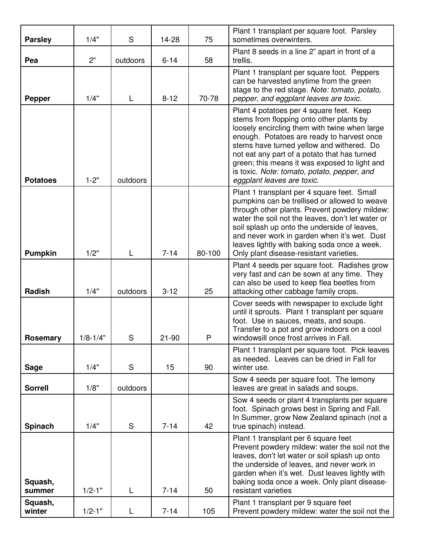| <b>Parsley</b>    | 1/4"         | S        | 14-28     | 75     | Plant 1 transplant per square foot. Parsley<br>sometimes overwinters.                                                                                                                                                                                                                                                                                                                                          |
|-------------------|--------------|----------|-----------|--------|----------------------------------------------------------------------------------------------------------------------------------------------------------------------------------------------------------------------------------------------------------------------------------------------------------------------------------------------------------------------------------------------------------------|
| Pea               | 2"           | outdoors | $6 - 14$  | 58     | Plant 8 seeds in a line 2" apart in front of a<br>trellis.                                                                                                                                                                                                                                                                                                                                                     |
| <b>Pepper</b>     | 1/4"         | L        | $8 - 12$  | 70-78  | Plant 1 transplant per square foot. Peppers<br>can be harvested anytime from the green<br>stage to the red stage. Note: tomato, potato,<br>pepper, and eggplant leaves are toxic.                                                                                                                                                                                                                              |
| <b>Potatoes</b>   | $1 - 2"$     | outdoors |           |        | Plant 4 potatoes per 4 square feet. Keep<br>stems from flopping onto other plants by<br>loosely encircling them with twine when large<br>enough. Potatoes are ready to harvest once<br>stems have turned yellow and withered. Do<br>not eat any part of a potato that has turned<br>green; this means it was exposed to light and<br>is toxic. Note: tomato, potato, pepper, and<br>eggplant leaves are toxic. |
| <b>Pumpkin</b>    | 1/2"         | L        | $7 - 14$  | 80-100 | Plant 1 transplant per 4 square feet. Small<br>pumpkins can be trellised or allowed to weave<br>through other plants. Prevent powdery mildew:<br>water the soil not the leaves, don't let water or<br>soil splash up onto the underside of leaves,<br>and never work in garden when it's wet. Dust<br>leaves lightly with baking soda once a week.<br>Only plant disease-resistant varieties.                  |
| Radish            | 1/4"         | outdoors | $3 - 12$  | 25     | Plant 4 seeds per square foot. Radishes grow<br>very fast and can be sown at any time. They<br>can also be used to keep flea beetles from<br>attacking other cabbage family crops.                                                                                                                                                                                                                             |
| Rosemary          | $1/8 - 1/4"$ | S        | $21 - 90$ | P      | Cover seeds with newspaper to exclude light<br>until it sprouts. Plant 1 transplant per square<br>foot. Use in sauces, meats, and soups.<br>Transfer to a pot and grow indoors on a cool<br>windowsill once frost arrives in Fall.                                                                                                                                                                             |
| <b>Sage</b>       | 1/4"         | S        | 15        | 90     | Plant 1 transplant per square foot. Pick leaves<br>as needed. Leaves can be dried in Fall for<br>winter use.                                                                                                                                                                                                                                                                                                   |
| <b>Sorrell</b>    | 1/8"         | outdoors |           |        | Sow 4 seeds per square foot. The lemony<br>leaves are great in salads and soups.                                                                                                                                                                                                                                                                                                                               |
| Spinach           | 1/4"         | S        | $7 - 14$  | 42     | Sow 4 seeds or plant 4 transplants per square<br>foot. Spinach grows best in Spring and Fall.<br>In Summer, grow New Zealand spinach (not a<br>true spinach) instead.                                                                                                                                                                                                                                          |
| Squash,<br>summer | $1/2 - 1"$   | L        | $7 - 14$  | 50     | Plant 1 transplant per 6 square feet<br>Prevent powdery mildew: water the soil not the<br>leaves, don't let water or soil splash up onto<br>the underside of leaves, and never work in<br>garden when it's wet. Dust leaves lightly with<br>baking soda once a week. Only plant disease-<br>resistant varieties                                                                                                |
| Squash,<br>winter | $1/2 - 1"$   | L        | $7 - 14$  | 105    | Plant 1 transplant per 9 square feet<br>Prevent powdery mildew: water the soil not the                                                                                                                                                                                                                                                                                                                         |